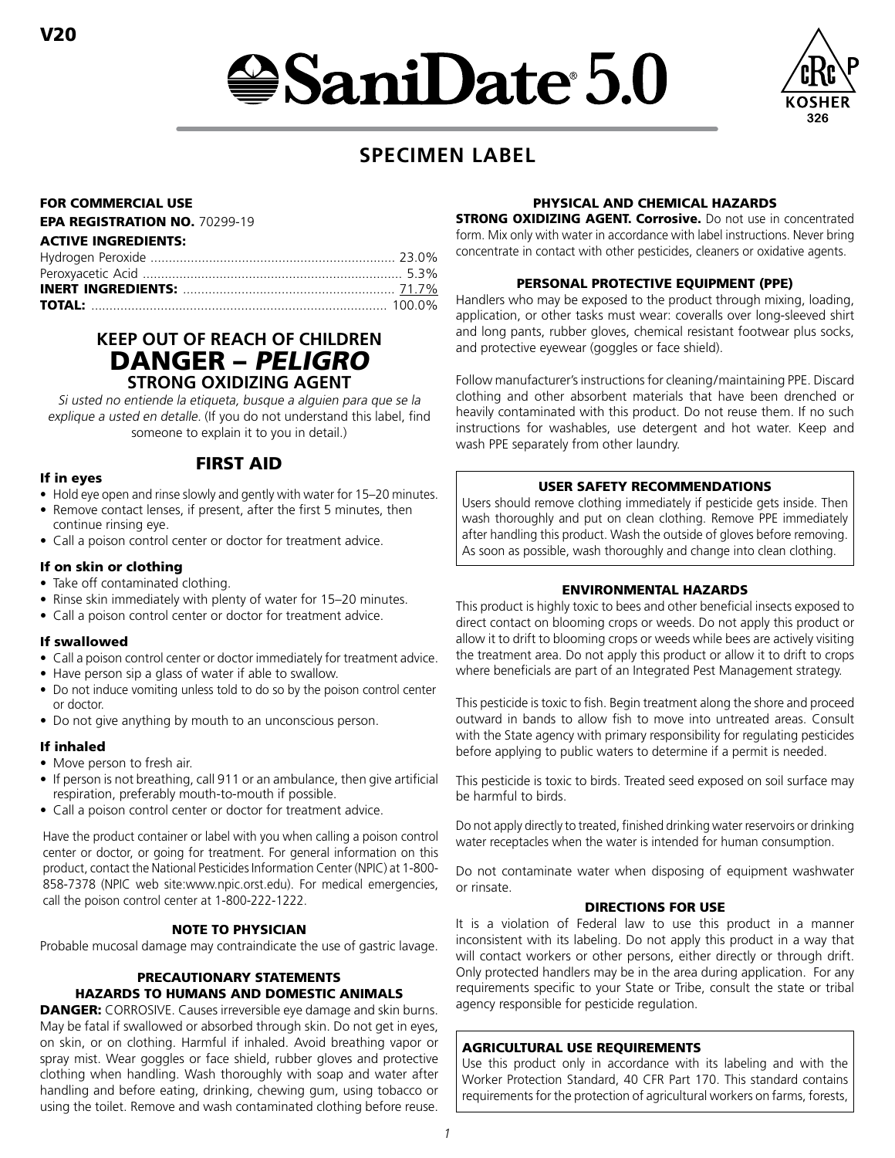# $\bigcirc$ SaniDate 5.0



# **SPECIMEN LABEL**

# FOR COMMERCIAL USE

#### EPA REGISTRATION NO. 70299-19

| <b>ACTIVE INGREDIENTS:</b> |  |
|----------------------------|--|
|                            |  |
|                            |  |
|                            |  |
|                            |  |

# **KEEP OUT OF REACH OF CHILDREN** DANGER – PELIGRO **STRONG OXIDIZING AGENT**

Si usted no entiende la etiqueta, busque a alguien para que se la explique a usted en detalle. (If you do not understand this label, find someone to explain it to you in detail.)

# If in eyes

• Hold eye open and rinse slowly and gently with water for 15–20 minutes.

FIRST AID

- Remove contact lenses, if present, after the first 5 minutes, then continue rinsing eye.
- Call a poison control center or doctor for treatment advice.

# If on skin or clothing

- Take off contaminated clothing.
- Rinse skin immediately with plenty of water for 15–20 minutes.
- Call a poison control center or doctor for treatment advice.

# If swallowed

- Call a poison control center or doctor immediately for treatment advice.
- Have person sip a glass of water if able to swallow.
- Do not induce vomiting unless told to do so by the poison control center or doctor.
- Do not give anything by mouth to an unconscious person.

# If inhaled

- Move person to fresh air.
- If person is not breathing, call 911 or an ambulance, then give artificial respiration, preferably mouth-to-mouth if possible.
- Call a poison control center or doctor for treatment advice.

Have the product container or label with you when calling a poison control center or doctor, or going for treatment. For general information on this product, contact the National Pesticides Information Center (NPIC) at 1-800- 858-7378 (NPIC web site:www.npic.orst.edu). For medical emergencies, call the poison control center at 1-800-222-1222.

# NOTE TO PHYSICIAN

Probable mucosal damage may contraindicate the use of gastric lavage.

# PRECAUTIONARY STATEMENTS HAZARDS TO HUMANS AND DOMESTIC ANIMALS

**DANGER:** CORROSIVE. Causes irreversible eye damage and skin burns. May be fatal if swallowed or absorbed through skin. Do not get in eyes, on skin, or on clothing. Harmful if inhaled. Avoid breathing vapor or spray mist. Wear goggles or face shield, rubber gloves and protective clothing when handling. Wash thoroughly with soap and water after handling and before eating, drinking, chewing gum, using tobacco or using the toilet. Remove and wash contaminated clothing before reuse.

# PHYSICAL AND CHEMICAL HAZARDS

**STRONG OXIDIZING AGENT. Corrosive.** Do not use in concentrated form. Mix only with water in accordance with label instructions. Never bring concentrate in contact with other pesticides, cleaners or oxidative agents.

#### PERSONAL PROTECTIVE EQUIPMENT (PPE)

Handlers who may be exposed to the product through mixing, loading, application, or other tasks must wear: coveralls over long-sleeved shirt and long pants, rubber gloves, chemical resistant footwear plus socks, and protective eyewear (goggles or face shield).

Follow manufacturer's instructions for cleaning/maintaining PPE. Discard clothing and other absorbent materials that have been drenched or heavily contaminated with this product. Do not reuse them. If no such instructions for washables, use detergent and hot water. Keep and wash PPE separately from other laundry.

# USER SAFETY RECOMMENDATIONS

Users should remove clothing immediately if pesticide gets inside. Then wash thoroughly and put on clean clothing. Remove PPE immediately after handling this product. Wash the outside of gloves before removing. As soon as possible, wash thoroughly and change into clean clothing.

# ENVIRONMENTAL HAZARDS

This product is highly toxic to bees and other beneficial insects exposed to direct contact on blooming crops or weeds. Do not apply this product or allow it to drift to blooming crops or weeds while bees are actively visiting the treatment area. Do not apply this product or allow it to drift to crops where beneficials are part of an Integrated Pest Management strategy.

This pesticide is toxic to fish. Begin treatment along the shore and proceed outward in bands to allow fish to move into untreated areas. Consult with the State agency with primary responsibility for regulating pesticides before applying to public waters to determine if a permit is needed.

This pesticide is toxic to birds. Treated seed exposed on soil surface may be harmful to birds.

Do not apply directly to treated, finished drinking water reservoirs or drinking water receptacles when the water is intended for human consumption.

Do not contaminate water when disposing of equipment washwater or rinsate.

# DIRECTIONS FOR USE

It is a violation of Federal law to use this product in a manner inconsistent with its labeling. Do not apply this product in a way that will contact workers or other persons, either directly or through drift. Only protected handlers may be in the area during application. For any requirements specific to your State or Tribe, consult the state or tribal agency responsible for pesticide regulation.

# AGRICULTURAL USE REQUIREMENTS

Use this product only in accordance with its labeling and with the Worker Protection Standard, 40 CFR Part 170. This standard contains requirements for the protection of agricultural workers on farms, forests,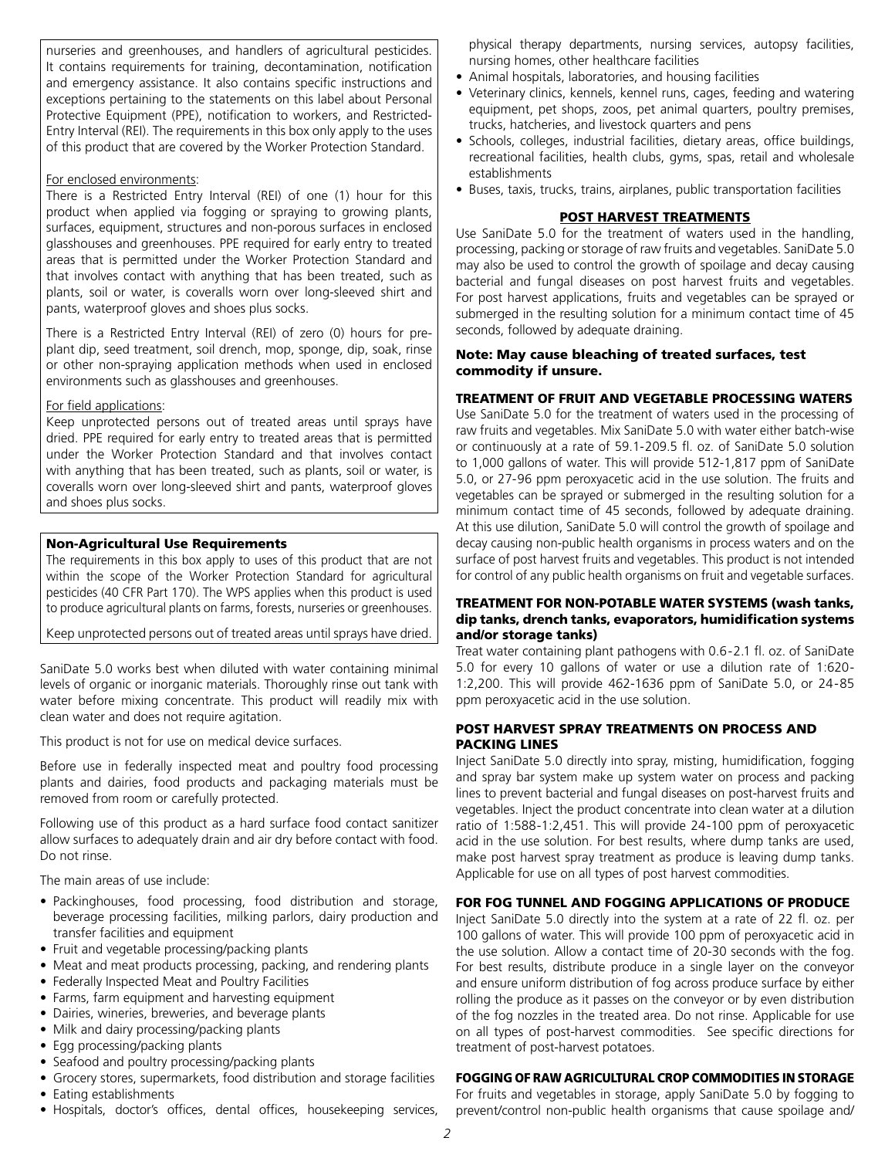nurseries and greenhouses, and handlers of agricultural pesticides. It contains requirements for training, decontamination, notification and emergency assistance. It also contains specific instructions and exceptions pertaining to the statements on this label about Personal Protective Equipment (PPE), notification to workers, and Restricted-Entry Interval (REI). The requirements in this box only apply to the uses of this product that are covered by the Worker Protection Standard.

#### For enclosed environments:

There is a Restricted Entry Interval (REI) of one (1) hour for this product when applied via fogging or spraying to growing plants, surfaces, equipment, structures and non-porous surfaces in enclosed glasshouses and greenhouses. PPE required for early entry to treated areas that is permitted under the Worker Protection Standard and that involves contact with anything that has been treated, such as plants, soil or water, is coveralls worn over long-sleeved shirt and pants, waterproof gloves and shoes plus socks.

There is a Restricted Entry Interval (REI) of zero (0) hours for preplant dip, seed treatment, soil drench, mop, sponge, dip, soak, rinse or other non-spraying application methods when used in enclosed environments such as glasshouses and greenhouses.

#### For field applications:

Keep unprotected persons out of treated areas until sprays have dried. PPE required for early entry to treated areas that is permitted under the Worker Protection Standard and that involves contact with anything that has been treated, such as plants, soil or water, is coveralls worn over long-sleeved shirt and pants, waterproof gloves and shoes plus socks.

# Non-Agricultural Use Requirements

The requirements in this box apply to uses of this product that are not within the scope of the Worker Protection Standard for agricultural pesticides (40 CFR Part 170). The WPS applies when this product is used to produce agricultural plants on farms, forests, nurseries or greenhouses.

Keep unprotected persons out of treated areas until sprays have dried.

SaniDate 5.0 works best when diluted with water containing minimal levels of organic or inorganic materials. Thoroughly rinse out tank with water before mixing concentrate. This product will readily mix with clean water and does not require agitation.

This product is not for use on medical device surfaces.

Before use in federally inspected meat and poultry food processing plants and dairies, food products and packaging materials must be removed from room or carefully protected.

Following use of this product as a hard surface food contact sanitizer allow surfaces to adequately drain and air dry before contact with food. Do not rinse.

The main areas of use include:

- Packinghouses, food processing, food distribution and storage, beverage processing facilities, milking parlors, dairy production and transfer facilities and equipment
- Fruit and vegetable processing/packing plants
- Meat and meat products processing, packing, and rendering plants
- Federally Inspected Meat and Poultry Facilities
- Farms, farm equipment and harvesting equipment
- Dairies, wineries, breweries, and beverage plants
- Milk and dairy processing/packing plants
- Egg processing/packing plants
- Seafood and poultry processing/packing plants
- Grocery stores, supermarkets, food distribution and storage facilities • Eating establishments
- Hospitals, doctor's offices, dental offices, housekeeping services,

physical therapy departments, nursing services, autopsy facilities, nursing homes, other healthcare facilities

- Animal hospitals, laboratories, and housing facilities
- Veterinary clinics, kennels, kennel runs, cages, feeding and watering equipment, pet shops, zoos, pet animal quarters, poultry premises, trucks, hatcheries, and livestock quarters and pens
- Schools, colleges, industrial facilities, dietary areas, office buildings, recreational facilities, health clubs, gyms, spas, retail and wholesale establishments
- Buses, taxis, trucks, trains, airplanes, public transportation facilities

#### POST HARVEST TREATMENTS

Use SaniDate 5.0 for the treatment of waters used in the handling, processing, packing or storage of raw fruits and vegetables. SaniDate 5.0 may also be used to control the growth of spoilage and decay causing bacterial and fungal diseases on post harvest fruits and vegetables. For post harvest applications, fruits and vegetables can be sprayed or submerged in the resulting solution for a minimum contact time of 45 seconds, followed by adequate draining.

#### Note: May cause bleaching of treated surfaces, test commodity if unsure.

# TREATMENT OF FRUIT AND VEGETABLE PROCESSING WATERS

Use SaniDate 5.0 for the treatment of waters used in the processing of raw fruits and vegetables. Mix SaniDate 5.0 with water either batch-wise or continuously at a rate of 59.1-209.5 fl. oz. of SaniDate 5.0 solution to 1,000 gallons of water. This will provide 512-1,817 ppm of SaniDate 5.0, or 27-96 ppm peroxyacetic acid in the use solution. The fruits and vegetables can be sprayed or submerged in the resulting solution for a minimum contact time of 45 seconds, followed by adequate draining. At this use dilution, SaniDate 5.0 will control the growth of spoilage and decay causing non-public health organisms in process waters and on the surface of post harvest fruits and vegetables. This product is not intended for control of any public health organisms on fruit and vegetable surfaces.

#### TREATMENT FOR NON-POTABLE WATER SYSTEMS (wash tanks, dip tanks, drench tanks, evaporators, humidification systems and/or storage tanks)

Treat water containing plant pathogens with 0.6-2.1 fl. oz. of SaniDate 5.0 for every 10 gallons of water or use a dilution rate of 1:620- 1:2,200. This will provide 462-1636 ppm of SaniDate 5.0, or 24-85 ppm peroxyacetic acid in the use solution.

#### POST HARVEST SPRAY TREATMENTS ON PROCESS AND PACKING LINES

Inject SaniDate 5.0 directly into spray, misting, humidification, fogging and spray bar system make up system water on process and packing lines to prevent bacterial and fungal diseases on post-harvest fruits and vegetables. Inject the product concentrate into clean water at a dilution ratio of 1:588-1:2,451. This will provide 24-100 ppm of peroxyacetic acid in the use solution. For best results, where dump tanks are used, make post harvest spray treatment as produce is leaving dump tanks. Applicable for use on all types of post harvest commodities.

# FOR FOG TUNNEL AND FOGGING APPLICATIONS OF PRODUCE

Inject SaniDate 5.0 directly into the system at a rate of 22 fl. oz. per 100 gallons of water. This will provide 100 ppm of peroxyacetic acid in the use solution. Allow a contact time of 20-30 seconds with the fog. For best results, distribute produce in a single layer on the conveyor and ensure uniform distribution of fog across produce surface by either rolling the produce as it passes on the conveyor or by even distribution of the fog nozzles in the treated area. Do not rinse. Applicable for use on all types of post-harvest commodities. See specific directions for treatment of post-harvest potatoes.

#### FOGGING OF RAW AGRICULTURAL CROP COMMODITIES IN STORAGE

For fruits and vegetables in storage, apply SaniDate 5.0 by fogging to prevent/control non-public health organisms that cause spoilage and/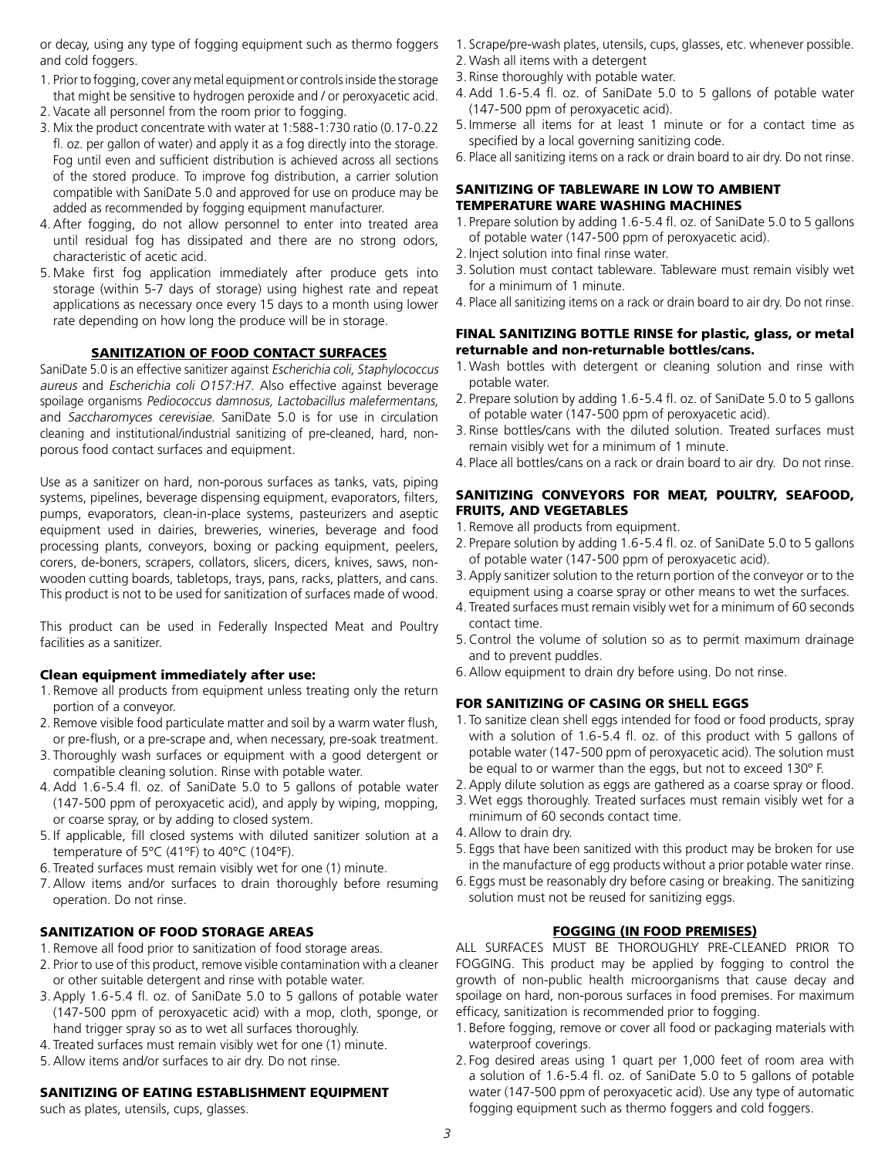or decay, using any type of fogging equipment such as thermo foggers and cold foggers.

- 1. Prior to fogging, cover any metal equipment or controls inside the storage that might be sensitive to hydrogen peroxide and / or peroxyacetic acid.
- 2. Vacate all personnel from the room prior to fogging.
- 3. Mix the product concentrate with water at 1:588-1:730 ratio (0.17-0.22 fl. oz. per gallon of water) and apply it as a fog directly into the storage. Fog until even and sufficient distribution is achieved across all sections of the stored produce. To improve fog distribution, a carrier solution compatible with SaniDate 5.0 and approved for use on produce may be added as recommended by fogging equipment manufacturer.
- 4.After fogging, do not allow personnel to enter into treated area until residual fog has dissipated and there are no strong odors, characteristic of acetic acid.
- 5. Make first fog application immediately after produce gets into storage (within 5-7 days of storage) using highest rate and repeat applications as necessary once every 15 days to a month using lower rate depending on how long the produce will be in storage.

#### SANITIZATION OF FOOD CONTACT SURFACES

SaniDate 5.0 is an effective sanitizer against Escherichia coli, Staphylococcus aureus and Escherichia coli O157:H7. Also effective against beverage spoilage organisms Pediococcus damnosus, Lactobacillus malefermentans, and Saccharomyces cerevisiae. SaniDate 5.0 is for use in circulation cleaning and institutional/industrial sanitizing of pre-cleaned, hard, nonporous food contact surfaces and equipment.

Use as a sanitizer on hard, non-porous surfaces as tanks, vats, piping systems, pipelines, beverage dispensing equipment, evaporators, filters, pumps, evaporators, clean-in-place systems, pasteurizers and aseptic equipment used in dairies, breweries, wineries, beverage and food processing plants, conveyors, boxing or packing equipment, peelers, corers, de-boners, scrapers, collators, slicers, dicers, knives, saws, nonwooden cutting boards, tabletops, trays, pans, racks, platters, and cans. This product is not to be used for sanitization of surfaces made of wood.

This product can be used in Federally Inspected Meat and Poultry facilities as a sanitizer.

#### Clean equipment immediately after use:

- 1. Remove all products from equipment unless treating only the return portion of a conveyor.
- 2. Remove visible food particulate matter and soil by a warm water flush, or pre-flush, or a pre-scrape and, when necessary, pre-soak treatment.
- 3. Thoroughly wash surfaces or equipment with a good detergent or compatible cleaning solution. Rinse with potable water.
- 4.Add 1.6-5.4 fl. oz. of SaniDate 5.0 to 5 gallons of potable water (147-500 ppm of peroxyacetic acid), and apply by wiping, mopping, or coarse spray, or by adding to closed system.
- 5. If applicable, fill closed systems with diluted sanitizer solution at a temperature of 5°C (41°F) to 40°C (104°F).
- 6. Treated surfaces must remain visibly wet for one (1) minute.
- 7.Allow items and/or surfaces to drain thoroughly before resuming operation. Do not rinse.

#### SANITIZATION OF FOOD STORAGE AREAS

- 1. Remove all food prior to sanitization of food storage areas.
- 2. Prior to use of this product, remove visible contamination with a cleaner or other suitable detergent and rinse with potable water.
- 3.Apply 1.6-5.4 fl. oz. of SaniDate 5.0 to 5 gallons of potable water (147-500 ppm of peroxyacetic acid) with a mop, cloth, sponge, or hand trigger spray so as to wet all surfaces thoroughly.
- 4. Treated surfaces must remain visibly wet for one (1) minute.
- 5.Allow items and/or surfaces to air dry. Do not rinse.

# SANITIZING OF EATING ESTABLISHMENT EQUIPMENT

such as plates, utensils, cups, glasses.

- 1. Scrape/pre-wash plates, utensils, cups, glasses, etc. whenever possible.
- 2. Wash all items with a detergent
- 3. Rinse thoroughly with potable water.
- 4.Add 1.6-5.4 fl. oz. of SaniDate 5.0 to 5 gallons of potable water (147-500 ppm of peroxyacetic acid).
- 5. Immerse all items for at least 1 minute or for a contact time as specified by a local governing sanitizing code.
- 6. Place all sanitizing items on a rack or drain board to air dry. Do not rinse.

#### SANITIZING OF TABLEWARE IN LOW TO AMBIENT TEMPERATURE WARE WASHING MACHINES

- 1. Prepare solution by adding 1.6-5.4 fl. oz. of SaniDate 5.0 to 5 gallons of potable water (147-500 ppm of peroxyacetic acid).
- 2. Inject solution into final rinse water.
- 3. Solution must contact tableware. Tableware must remain visibly wet for a minimum of 1 minute.
- 4. Place all sanitizing items on a rack or drain board to air dry. Do not rinse.

#### FINAL SANITIZING BOTTLE RINSE for plastic, glass, or metal returnable and non-returnable bottles/cans.

- 1. Wash bottles with detergent or cleaning solution and rinse with potable water.
- 2. Prepare solution by adding 1.6-5.4 fl. oz. of SaniDate 5.0 to 5 gallons of potable water (147-500 ppm of peroxyacetic acid).
- 3. Rinse bottles/cans with the diluted solution. Treated surfaces must remain visibly wet for a minimum of 1 minute.
- 4. Place all bottles/cans on a rack or drain board to air dry. Do not rinse.

#### SANITIZING CONVEYORS FOR MEAT, POULTRY, SEAFOOD, FRUITS, AND VEGETABLES

- 1. Remove all products from equipment.
- 2. Prepare solution by adding 1.6-5.4 fl. oz. of SaniDate 5.0 to 5 gallons of potable water (147-500 ppm of peroxyacetic acid).
- 3.Apply sanitizer solution to the return portion of the conveyor or to the equipment using a coarse spray or other means to wet the surfaces.
- 4. Treated surfaces must remain visibly wet for a minimum of 60 seconds contact time.
- 5.Control the volume of solution so as to permit maximum drainage and to prevent puddles.
- 6.Allow equipment to drain dry before using. Do not rinse.

# FOR SANITIZING OF CASING OR SHELL EGGS

- 1. To sanitize clean shell eggs intended for food or food products, spray with a solution of 1.6-5.4 fl. oz. of this product with 5 gallons of potable water (147-500 ppm of peroxyacetic acid). The solution must be equal to or warmer than the eggs, but not to exceed 130º F.
- 2.Apply dilute solution as eggs are gathered as a coarse spray or flood.
- 3. Wet eggs thoroughly. Treated surfaces must remain visibly wet for a minimum of 60 seconds contact time.
- 4.Allow to drain dry.
- 5. Eggs that have been sanitized with this product may be broken for use in the manufacture of egg products without a prior potable water rinse.
- 6. Eggs must be reasonably dry before casing or breaking. The sanitizing solution must not be reused for sanitizing eggs.

# FOGGING (IN FOOD PREMISES)

ALL SURFACES MUST BE THOROUGHLY PRE-CLEANED PRIOR TO FOGGING. This product may be applied by fogging to control the growth of non-public health microorganisms that cause decay and spoilage on hard, non-porous surfaces in food premises. For maximum efficacy, sanitization is recommended prior to fogging.

- 1. Before fogging, remove or cover all food or packaging materials with waterproof coverings.
- 2. Fog desired areas using 1 quart per 1,000 feet of room area with a solution of 1.6-5.4 fl. oz. of SaniDate 5.0 to 5 gallons of potable water (147-500 ppm of peroxyacetic acid). Use any type of automatic fogging equipment such as thermo foggers and cold foggers.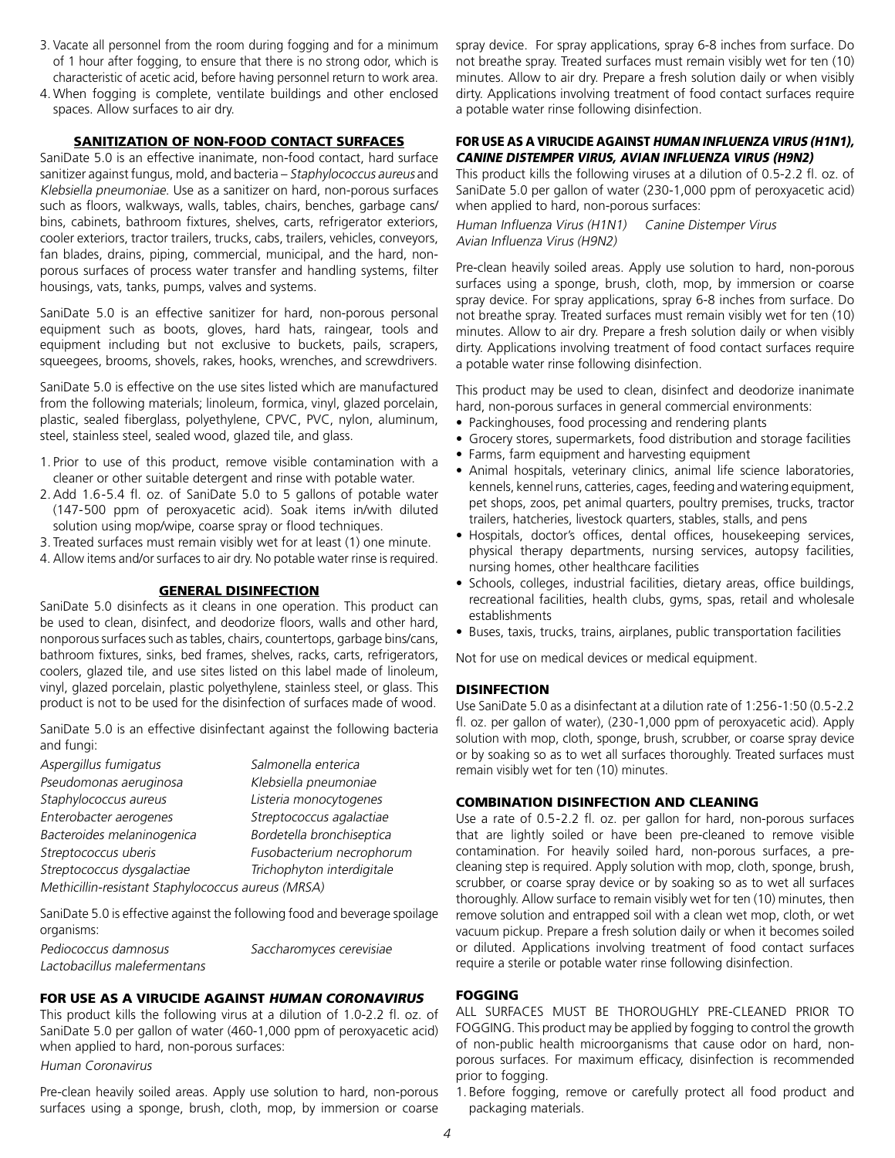- 3. Vacate all personnel from the room during fogging and for a minimum of 1 hour after fogging, to ensure that there is no strong odor, which is characteristic of acetic acid, before having personnel return to work area.
- 4. When fogging is complete, ventilate buildings and other enclosed spaces. Allow surfaces to air dry.

#### SANITIZATION OF NON-FOOD CONTACT SURFACES

SaniDate 5.0 is an effective inanimate, non-food contact, hard surface sanitizer against fungus, mold, and bacteria – Staphylococcus aureus and Klebsiella pneumoniae. Use as a sanitizer on hard, non-porous surfaces such as floors, walkways, walls, tables, chairs, benches, garbage cans/ bins, cabinets, bathroom fixtures, shelves, carts, refrigerator exteriors, cooler exteriors, tractor trailers, trucks, cabs, trailers, vehicles, conveyors, fan blades, drains, piping, commercial, municipal, and the hard, nonporous surfaces of process water transfer and handling systems, filter housings, vats, tanks, pumps, valves and systems.

SaniDate 5.0 is an effective sanitizer for hard, non-porous personal equipment such as boots, gloves, hard hats, raingear, tools and equipment including but not exclusive to buckets, pails, scrapers, squeegees, brooms, shovels, rakes, hooks, wrenches, and screwdrivers.

SaniDate 5.0 is effective on the use sites listed which are manufactured from the following materials; linoleum, formica, vinyl, glazed porcelain, plastic, sealed fiberglass, polyethylene, CPVC, PVC, nylon, aluminum, steel, stainless steel, sealed wood, glazed tile, and glass.

- 1. Prior to use of this product, remove visible contamination with a cleaner or other suitable detergent and rinse with potable water.
- 2.Add 1.6-5.4 fl. oz. of SaniDate 5.0 to 5 gallons of potable water (147-500 ppm of peroxyacetic acid). Soak items in/with diluted solution using mop/wipe, coarse spray or flood techniques.
- 3. Treated surfaces must remain visibly wet for at least (1) one minute.
- 4. Allow items and/or surfaces to air dry. No potable water rinse is required.

#### GENERAL DISINFECTION

SaniDate 5.0 disinfects as it cleans in one operation. This product can be used to clean, disinfect, and deodorize floors, walls and other hard, nonporous surfaces such as tables, chairs, countertops, garbage bins/cans, bathroom fixtures, sinks, bed frames, shelves, racks, carts, refrigerators, coolers, glazed tile, and use sites listed on this label made of linoleum, vinyl, glazed porcelain, plastic polyethylene, stainless steel, or glass. This product is not to be used for the disinfection of surfaces made of wood.

SaniDate 5.0 is an effective disinfectant against the following bacteria and fungi:

| Aspergillus fumigatus                              | Salmonella enterica        |  |
|----------------------------------------------------|----------------------------|--|
| Pseudomonas aeruginosa                             | Klebsiella pneumoniae      |  |
| Staphylococcus aureus                              | Listeria monocytogenes     |  |
| Enterobacter aerogenes                             | Streptococcus agalactiae   |  |
| Bacteroides melaninogenica                         | Bordetella bronchiseptica  |  |
| Streptococcus uberis                               | Fusobacterium necrophorum  |  |
| Streptococcus dysgalactiae                         | Trichophyton interdigitale |  |
| Methicillin-resistant Staphylococcus aureus (MRSA) |                            |  |

SaniDate 5.0 is effective against the following food and beverage spoilage organisms:

| .                            |                          |
|------------------------------|--------------------------|
| Pediococcus damnosus         | Saccharomyces cerevisiae |
| Lactobacillus malefermentans |                          |

# FOR USE AS A VIRUCIDE AGAINST HUMAN CORONAVIRUS

This product kills the following virus at a dilution of 1.0-2.2 fl. oz. of SaniDate 5.0 per gallon of water (460-1,000 ppm of peroxyacetic acid) when applied to hard, non-porous surfaces:

Human Coronavirus

Pre-clean heavily soiled areas. Apply use solution to hard, non-porous surfaces using a sponge, brush, cloth, mop, by immersion or coarse spray device. For spray applications, spray 6-8 inches from surface. Do not breathe spray. Treated surfaces must remain visibly wet for ten (10) minutes. Allow to air dry. Prepare a fresh solution daily or when visibly dirty. Applications involving treatment of food contact surfaces require a potable water rinse following disinfection.

#### FOR USE AS A VIRUCIDE AGAINST HUMAN INFLUENZA VIRUS (H1N1), CANINE DISTEMPER VIRUS, AVIAN INFLUENZA VIRUS (H9N2)

This product kills the following viruses at a dilution of 0.5-2.2 fl. oz. of SaniDate 5.0 per gallon of water (230-1,000 ppm of peroxyacetic acid) when applied to hard, non-porous surfaces:

Human Influenza Virus (H1N1) Canine Distemper Virus Avian Influenza Virus (H9N2)

Pre-clean heavily soiled areas. Apply use solution to hard, non-porous surfaces using a sponge, brush, cloth, mop, by immersion or coarse spray device. For spray applications, spray 6-8 inches from surface. Do not breathe spray. Treated surfaces must remain visibly wet for ten (10) minutes. Allow to air dry. Prepare a fresh solution daily or when visibly dirty. Applications involving treatment of food contact surfaces require a potable water rinse following disinfection.

This product may be used to clean, disinfect and deodorize inanimate hard, non-porous surfaces in general commercial environments:

- Packinghouses, food processing and rendering plants
- Grocery stores, supermarkets, food distribution and storage facilities
- Farms, farm equipment and harvesting equipment
- Animal hospitals, veterinary clinics, animal life science laboratories, kennels, kennel runs, catteries, cages, feeding and watering equipment, pet shops, zoos, pet animal quarters, poultry premises, trucks, tractor trailers, hatcheries, livestock quarters, stables, stalls, and pens
- Hospitals, doctor's offices, dental offices, housekeeping services, physical therapy departments, nursing services, autopsy facilities, nursing homes, other healthcare facilities
- Schools, colleges, industrial facilities, dietary areas, office buildings, recreational facilities, health clubs, gyms, spas, retail and wholesale establishments
- Buses, taxis, trucks, trains, airplanes, public transportation facilities

Not for use on medical devices or medical equipment.

# DISINFECTION

Use SaniDate 5.0 as a disinfectant at a dilution rate of 1:256-1:50 (0.5-2.2 fl. oz. per gallon of water), (230-1,000 ppm of peroxyacetic acid). Apply solution with mop, cloth, sponge, brush, scrubber, or coarse spray device or by soaking so as to wet all surfaces thoroughly. Treated surfaces must remain visibly wet for ten (10) minutes.

# COMBINATION DISINFECTION AND CLEANING

Use a rate of 0.5-2.2 fl. oz. per gallon for hard, non-porous surfaces that are lightly soiled or have been pre-cleaned to remove visible contamination. For heavily soiled hard, non-porous surfaces, a precleaning step is required. Apply solution with mop, cloth, sponge, brush, scrubber, or coarse spray device or by soaking so as to wet all surfaces thoroughly. Allow surface to remain visibly wet for ten (10) minutes, then remove solution and entrapped soil with a clean wet mop, cloth, or wet vacuum pickup. Prepare a fresh solution daily or when it becomes soiled or diluted. Applications involving treatment of food contact surfaces require a sterile or potable water rinse following disinfection.

#### FOGGING

ALL SURFACES MUST BE THOROUGHLY PRE-CLEANED PRIOR TO FOGGING. This product may be applied by fogging to control the growth of non-public health microorganisms that cause odor on hard, nonporous surfaces. For maximum efficacy, disinfection is recommended prior to fogging.

1. Before fogging, remove or carefully protect all food product and packaging materials.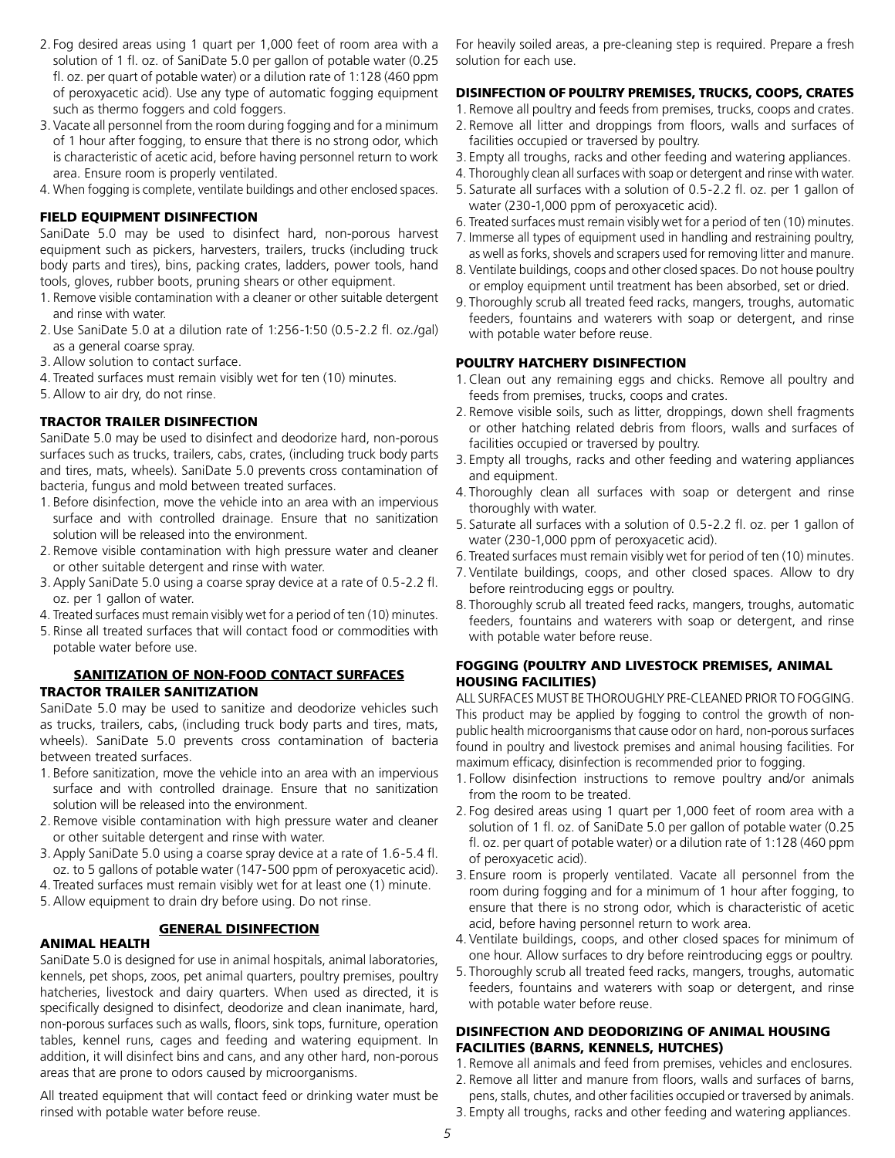- 2. Fog desired areas using 1 quart per 1,000 feet of room area with a solution of 1 fl. oz. of SaniDate 5.0 per gallon of potable water (0.25 fl. oz. per quart of potable water) or a dilution rate of 1:128 (460 ppm of peroxyacetic acid). Use any type of automatic fogging equipment such as thermo foggers and cold foggers.
- 3. Vacate all personnel from the room during fogging and for a minimum of 1 hour after fogging, to ensure that there is no strong odor, which is characteristic of acetic acid, before having personnel return to work area. Ensure room is properly ventilated.
- 4. When fogging is complete, ventilate buildings and other enclosed spaces.

#### FIELD EQUIPMENT DISINFECTION

SaniDate 5.0 may be used to disinfect hard, non-porous harvest equipment such as pickers, harvesters, trailers, trucks (including truck body parts and tires), bins, packing crates, ladders, power tools, hand tools, gloves, rubber boots, pruning shears or other equipment.

- 1. Remove visible contamination with a cleaner or other suitable detergent and rinse with water.
- 2.Use SaniDate 5.0 at a dilution rate of 1:256-1:50 (0.5-2.2 fl. oz./gal) as a general coarse spray.
- 3.Allow solution to contact surface.
- 4. Treated surfaces must remain visibly wet for ten (10) minutes.
- 5.Allow to air dry, do not rinse.

#### TRACTOR TRAILER DISINFECTION

SaniDate 5.0 may be used to disinfect and deodorize hard, non-porous surfaces such as trucks, trailers, cabs, crates, (including truck body parts and tires, mats, wheels). SaniDate 5.0 prevents cross contamination of bacteria, fungus and mold between treated surfaces.

- 1. Before disinfection, move the vehicle into an area with an impervious surface and with controlled drainage. Ensure that no sanitization solution will be released into the environment.
- 2. Remove visible contamination with high pressure water and cleaner or other suitable detergent and rinse with water.
- 3.Apply SaniDate 5.0 using a coarse spray device at a rate of 0.5-2.2 fl. oz. per 1 gallon of water.
- 4. Treated surfaces must remain visibly wet for a period of ten (10) minutes.
- 5. Rinse all treated surfaces that will contact food or commodities with potable water before use.

#### SANITIZATION OF NON-FOOD CONTACT SURFACES TRACTOR TRAILER SANITIZATION

SaniDate 5.0 may be used to sanitize and deodorize vehicles such as trucks, trailers, cabs, (including truck body parts and tires, mats, wheels). SaniDate 5.0 prevents cross contamination of bacteria between treated surfaces.

- 1. Before sanitization, move the vehicle into an area with an impervious surface and with controlled drainage. Ensure that no sanitization solution will be released into the environment.
- 2. Remove visible contamination with high pressure water and cleaner or other suitable detergent and rinse with water.
- 3.Apply SaniDate 5.0 using a coarse spray device at a rate of 1.6-5.4 fl. oz. to 5 gallons of potable water (147-500 ppm of peroxyacetic acid).
- 4. Treated surfaces must remain visibly wet for at least one (1) minute.
- 5.Allow equipment to drain dry before using. Do not rinse.

#### GENERAL DISINFECTION

#### ANIMAL HEALTH

SaniDate 5.0 is designed for use in animal hospitals, animal laboratories, kennels, pet shops, zoos, pet animal quarters, poultry premises, poultry hatcheries, livestock and dairy quarters. When used as directed, it is specifically designed to disinfect, deodorize and clean inanimate, hard, non-porous surfaces such as walls, floors, sink tops, furniture, operation tables, kennel runs, cages and feeding and watering equipment. In addition, it will disinfect bins and cans, and any other hard, non-porous areas that are prone to odors caused by microorganisms.

All treated equipment that will contact feed or drinking water must be rinsed with potable water before reuse.

For heavily soiled areas, a pre-cleaning step is required. Prepare a fresh solution for each use.

#### DISINFECTION OF POULTRY PREMISES, TRUCKS, COOPS, CRATES

- 1. Remove all poultry and feeds from premises, trucks, coops and crates. 2. Remove all litter and droppings from floors, walls and surfaces of facilities occupied or traversed by poultry.
- 3. Empty all troughs, racks and other feeding and watering appliances.
- 4. Thoroughly clean all surfaces with soap or detergent and rinse with water.
- 5. Saturate all surfaces with a solution of 0.5-2.2 fl. oz. per 1 gallon of water (230-1,000 ppm of peroxyacetic acid).
- 6. Treated surfaces must remain visibly wet for a period of ten (10) minutes.
- 7. Immerse all types of equipment used in handling and restraining poultry, as well as forks, shovels and scrapers used for removing litter and manure.
- 8. Ventilate buildings, coops and other closed spaces. Do not house poultry or employ equipment until treatment has been absorbed, set or dried.
- 9. Thoroughly scrub all treated feed racks, mangers, troughs, automatic feeders, fountains and waterers with soap or detergent, and rinse with potable water before reuse.

#### POULTRY HATCHERY DISINFECTION

- 1.Clean out any remaining eggs and chicks. Remove all poultry and feeds from premises, trucks, coops and crates.
- 2. Remove visible soils, such as litter, droppings, down shell fragments or other hatching related debris from floors, walls and surfaces of facilities occupied or traversed by poultry.
- 3. Empty all troughs, racks and other feeding and watering appliances and equipment.
- 4. Thoroughly clean all surfaces with soap or detergent and rinse thoroughly with water.
- 5. Saturate all surfaces with a solution of 0.5-2.2 fl. oz. per 1 gallon of water (230-1,000 ppm of peroxyacetic acid).
- 6. Treated surfaces must remain visibly wet for period of ten (10) minutes.
- 7. Ventilate buildings, coops, and other closed spaces. Allow to dry before reintroducing eggs or poultry.
- 8. Thoroughly scrub all treated feed racks, mangers, troughs, automatic feeders, fountains and waterers with soap or detergent, and rinse with potable water before reuse.

#### FOGGING (POULTRY AND LIVESTOCK PREMISES, ANIMAL HOUSING FACILITIES)

ALL SURFACES MUST BE THOROUGHLY PRE-CLEANED PRIOR TO FOGGING. This product may be applied by fogging to control the growth of nonpublic health microorganisms that cause odor on hard, non-porous surfaces found in poultry and livestock premises and animal housing facilities. For maximum efficacy, disinfection is recommended prior to fogging.

- 1. Follow disinfection instructions to remove poultry and/or animals from the room to be treated.
- 2. Fog desired areas using 1 quart per 1,000 feet of room area with a solution of 1 fl. oz. of SaniDate 5.0 per gallon of potable water (0.25 fl. oz. per quart of potable water) or a dilution rate of 1:128 (460 ppm of peroxyacetic acid).
- 3. Ensure room is properly ventilated. Vacate all personnel from the room during fogging and for a minimum of 1 hour after fogging, to ensure that there is no strong odor, which is characteristic of acetic acid, before having personnel return to work area.
- 4. Ventilate buildings, coops, and other closed spaces for minimum of one hour. Allow surfaces to dry before reintroducing eggs or poultry.
- 5. Thoroughly scrub all treated feed racks, mangers, troughs, automatic feeders, fountains and waterers with soap or detergent, and rinse with potable water before reuse.

# DISINFECTION AND DEODORIZING OF ANIMAL HOUSING FACILITIES (BARNS, KENNELS, HUTCHES)

- 1. Remove all animals and feed from premises, vehicles and enclosures.
- 2. Remove all litter and manure from floors, walls and surfaces of barns,
- pens, stalls, chutes, and other facilities occupied or traversed by animals. 3. Empty all troughs, racks and other feeding and watering appliances.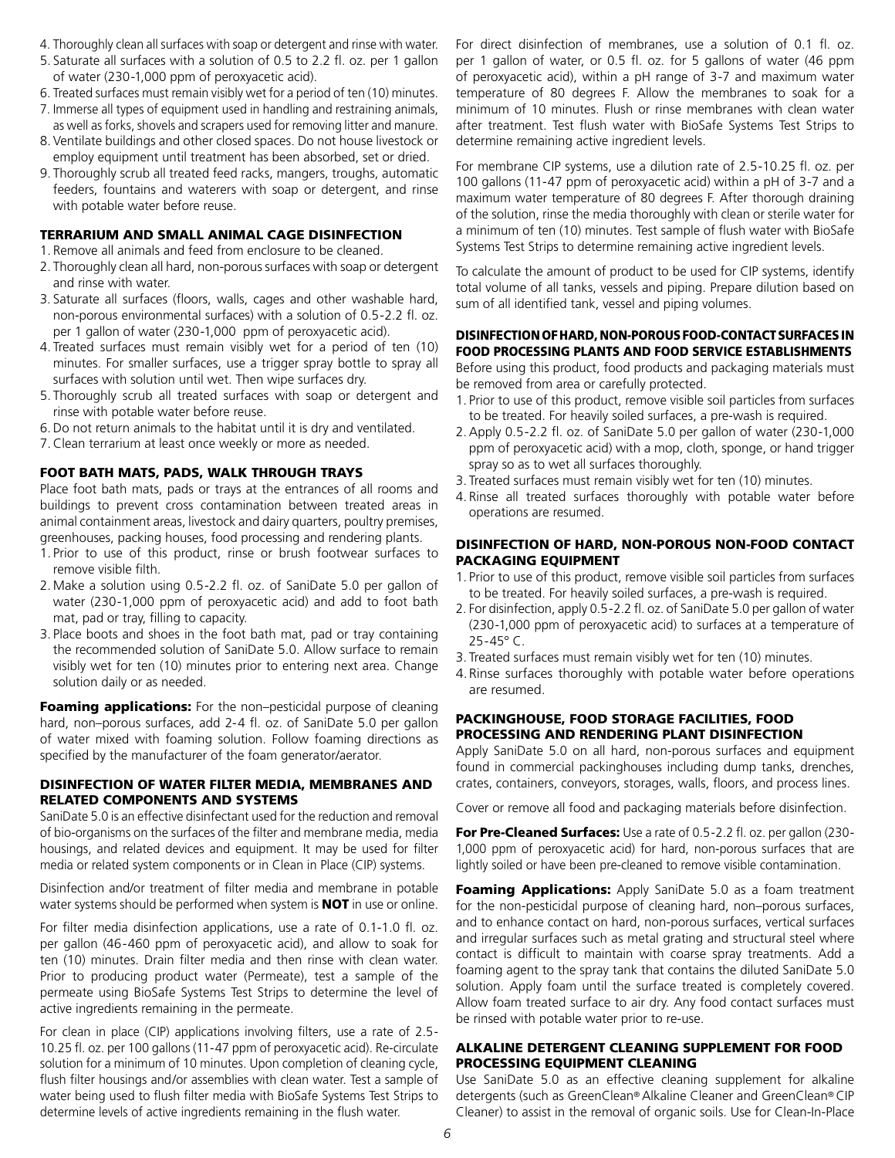- 4. Thoroughly clean all surfaces with soap or detergent and rinse with water.
- 5. Saturate all surfaces with a solution of 0.5 to 2.2 fl. oz. per 1 gallon of water (230-1,000 ppm of peroxyacetic acid).
- 6. Treated surfaces must remain visibly wet for a period of ten (10) minutes.
- 7. Immerse all types of equipment used in handling and restraining animals,
- as well as forks, shovels and scrapers used for removing litter and manure. 8. Ventilate buildings and other closed spaces. Do not house livestock or employ equipment until treatment has been absorbed, set or dried.
- 9. Thoroughly scrub all treated feed racks, mangers, troughs, automatic feeders, fountains and waterers with soap or detergent, and rinse with potable water before reuse.

#### TERRARIUM AND SMALL ANIMAL CAGE DISINFECTION

- 1. Remove all animals and feed from enclosure to be cleaned.
- 2. Thoroughly clean all hard, non-porous surfaces with soap or detergent and rinse with water.
- 3. Saturate all surfaces (floors, walls, cages and other washable hard, non-porous environmental surfaces) with a solution of 0.5-2.2 fl. oz. per 1 gallon of water (230-1,000 ppm of peroxyacetic acid).
- 4. Treated surfaces must remain visibly wet for a period of ten (10) minutes. For smaller surfaces, use a trigger spray bottle to spray all surfaces with solution until wet. Then wipe surfaces dry.
- 5. Thoroughly scrub all treated surfaces with soap or detergent and rinse with potable water before reuse.
- 6.Do not return animals to the habitat until it is dry and ventilated.
- 7.Clean terrarium at least once weekly or more as needed.

#### FOOT BATH MATS, PADS, WALK THROUGH TRAYS

Place foot bath mats, pads or trays at the entrances of all rooms and buildings to prevent cross contamination between treated areas in animal containment areas, livestock and dairy quarters, poultry premises, greenhouses, packing houses, food processing and rendering plants.

- 1. Prior to use of this product, rinse or brush footwear surfaces to remove visible filth.
- 2. Make a solution using 0.5-2.2 fl. oz. of SaniDate 5.0 per gallon of water (230-1,000 ppm of peroxyacetic acid) and add to foot bath mat, pad or tray, filling to capacity.
- 3. Place boots and shoes in the foot bath mat, pad or tray containing the recommended solution of SaniDate 5.0. Allow surface to remain visibly wet for ten (10) minutes prior to entering next area. Change solution daily or as needed.

Foaming applications: For the non-pesticidal purpose of cleaning hard, non–porous surfaces, add 2-4 fl. oz. of SaniDate 5.0 per gallon of water mixed with foaming solution. Follow foaming directions as specified by the manufacturer of the foam generator/aerator.

#### DISINFECTION OF WATER FILTER MEDIA, MEMBRANES AND RELATED COMPONENTS AND SYSTEMS

SaniDate 5.0 is an effective disinfectant used for the reduction and removal of bio-organisms on the surfaces of the filter and membrane media, media housings, and related devices and equipment. It may be used for filter media or related system components or in Clean in Place (CIP) systems.

Disinfection and/or treatment of filter media and membrane in potable water systems should be performed when system is **NOT** in use or online.

For filter media disinfection applications, use a rate of 0.1-1.0 fl. oz. per gallon (46-460 ppm of peroxyacetic acid), and allow to soak for ten (10) minutes. Drain filter media and then rinse with clean water. Prior to producing product water (Permeate), test a sample of the permeate using BioSafe Systems Test Strips to determine the level of active ingredients remaining in the permeate.

For clean in place (CIP) applications involving filters, use a rate of 2.5- 10.25 fl. oz. per 100 gallons (11-47 ppm of peroxyacetic acid). Re-circulate solution for a minimum of 10 minutes. Upon completion of cleaning cycle, flush filter housings and/or assemblies with clean water. Test a sample of water being used to flush filter media with BioSafe Systems Test Strips to determine levels of active ingredients remaining in the flush water.

For direct disinfection of membranes, use a solution of 0.1 fl. oz. per 1 gallon of water, or 0.5 fl. oz. for 5 gallons of water (46 ppm of peroxyacetic acid), within a pH range of 3-7 and maximum water temperature of 80 degrees F. Allow the membranes to soak for a minimum of 10 minutes. Flush or rinse membranes with clean water after treatment. Test flush water with BioSafe Systems Test Strips to determine remaining active ingredient levels.

For membrane CIP systems, use a dilution rate of 2.5-10.25 fl. oz. per 100 gallons (11-47 ppm of peroxyacetic acid) within a pH of 3-7 and a maximum water temperature of 80 degrees F. After thorough draining of the solution, rinse the media thoroughly with clean or sterile water for a minimum of ten (10) minutes. Test sample of flush water with BioSafe Systems Test Strips to determine remaining active ingredient levels.

To calculate the amount of product to be used for CIP systems, identify total volume of all tanks, vessels and piping. Prepare dilution based on sum of all identified tank, vessel and piping volumes.

#### DISINFECTION OF HARD, NON-POROUS FOOD-CONTACT SURFACES IN FOOD PROCESSING PLANTS AND FOOD SERVICE ESTABLISHMENTS

Before using this product, food products and packaging materials must be removed from area or carefully protected.

- 1. Prior to use of this product, remove visible soil particles from surfaces to be treated. For heavily soiled surfaces, a pre-wash is required.
- 2.Apply 0.5-2.2 fl. oz. of SaniDate 5.0 per gallon of water (230-1,000 ppm of peroxyacetic acid) with a mop, cloth, sponge, or hand trigger spray so as to wet all surfaces thoroughly.
- 3. Treated surfaces must remain visibly wet for ten (10) minutes.
- 4. Rinse all treated surfaces thoroughly with potable water before operations are resumed.

#### DISINFECTION OF HARD, NON-POROUS NON-FOOD CONTACT PACKAGING EQUIPMENT

- 1. Prior to use of this product, remove visible soil particles from surfaces to be treated. For heavily soiled surfaces, a pre-wash is required.
- 2. For disinfection, apply 0.5-2.2 fl. oz. of SaniDate 5.0 per gallon of water (230-1,000 ppm of peroxyacetic acid) to surfaces at a temperature of 25-45° C.
- 3. Treated surfaces must remain visibly wet for ten (10) minutes.
- 4.Rinse surfaces thoroughly with potable water before operations are resumed.

#### PACKINGHOUSE, FOOD STORAGE FACILITIES, FOOD PROCESSING AND RENDERING PLANT DISINFECTION

Apply SaniDate 5.0 on all hard, non-porous surfaces and equipment found in commercial packinghouses including dump tanks, drenches, crates, containers, conveyors, storages, walls, floors, and process lines.

Cover or remove all food and packaging materials before disinfection.

**For Pre-Cleaned Surfaces:** Use a rate of 0.5-2.2 fl. oz. per gallon (230-1,000 ppm of peroxyacetic acid) for hard, non-porous surfaces that are lightly soiled or have been pre-cleaned to remove visible contamination.

Foaming Applications: Apply SaniDate 5.0 as a foam treatment for the non-pesticidal purpose of cleaning hard, non–porous surfaces, and to enhance contact on hard, non-porous surfaces, vertical surfaces and irregular surfaces such as metal grating and structural steel where contact is difficult to maintain with coarse spray treatments. Add a foaming agent to the spray tank that contains the diluted SaniDate 5.0 solution. Apply foam until the surface treated is completely covered. Allow foam treated surface to air dry. Any food contact surfaces must be rinsed with potable water prior to re-use.

#### ALKALINE DETERGENT CLEANING SUPPLEMENT FOR FOOD PROCESSING EQUIPMENT CLEANING

Use SaniDate 5.0 as an effective cleaning supplement for alkaline detergents (such as GreenClean® Alkaline Cleaner and GreenClean® CIP Cleaner) to assist in the removal of organic soils. Use for Clean-In-Place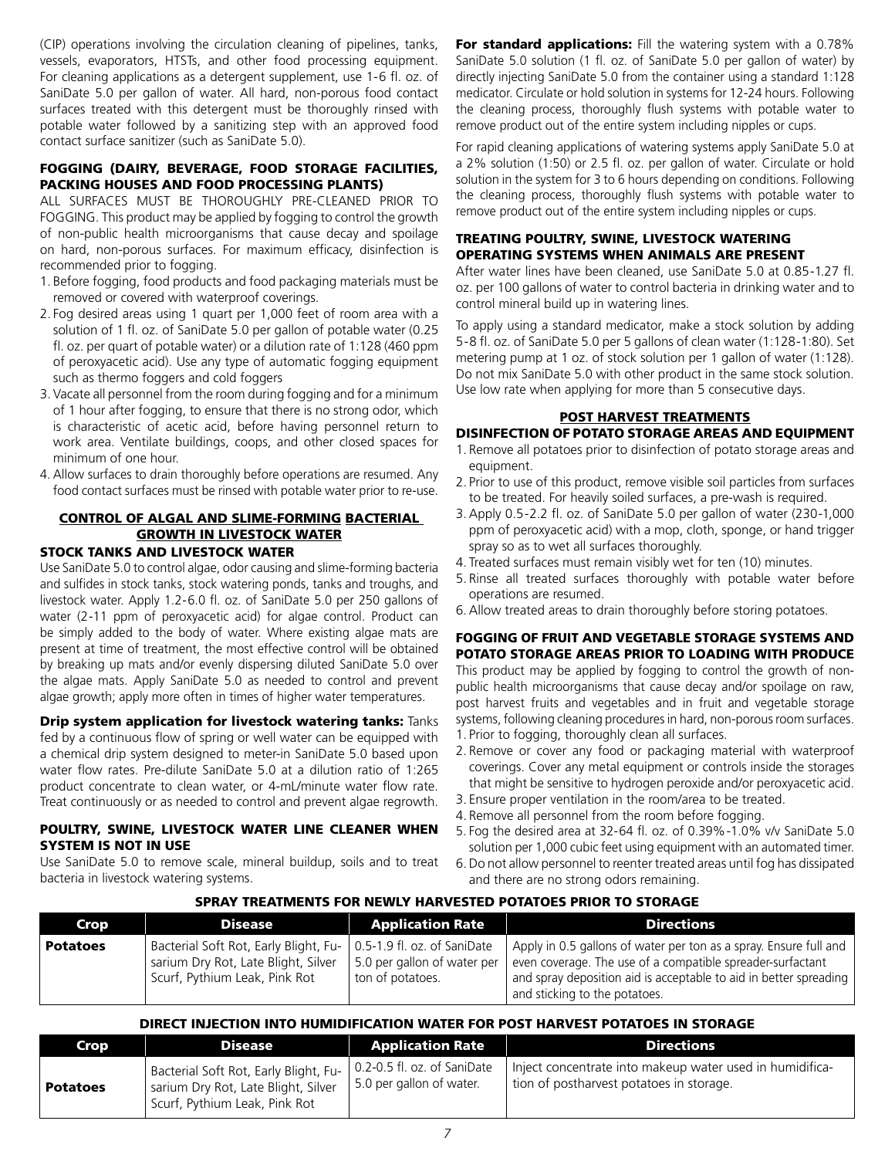(CIP) operations involving the circulation cleaning of pipelines, tanks, vessels, evaporators, HTSTs, and other food processing equipment. For cleaning applications as a detergent supplement, use 1-6 fl. oz. of SaniDate 5.0 per gallon of water. All hard, non-porous food contact surfaces treated with this detergent must be thoroughly rinsed with potable water followed by a sanitizing step with an approved food contact surface sanitizer (such as SaniDate 5.0).

#### FOGGING (DAIRY, BEVERAGE, FOOD STORAGE FACILITIES, PACKING HOUSES AND FOOD PROCESSING PLANTS)

ALL SURFACES MUST BE THOROUGHLY PRE-CLEANED PRIOR TO FOGGING. This product may be applied by fogging to control the growth of non-public health microorganisms that cause decay and spoilage on hard, non-porous surfaces. For maximum efficacy, disinfection is recommended prior to fogging.

- 1. Before fogging, food products and food packaging materials must be removed or covered with waterproof coverings.
- 2. Fog desired areas using 1 quart per 1,000 feet of room area with a solution of 1 fl. oz. of SaniDate 5.0 per gallon of potable water (0.25 fl. oz. per quart of potable water) or a dilution rate of 1:128 (460 ppm of peroxyacetic acid). Use any type of automatic fogging equipment such as thermo foggers and cold foggers
- 3. Vacate all personnel from the room during fogging and for a minimum of 1 hour after fogging, to ensure that there is no strong odor, which is characteristic of acetic acid, before having personnel return to work area. Ventilate buildings, coops, and other closed spaces for minimum of one hour.
- 4. Allow surfaces to drain thoroughly before operations are resumed. Any food contact surfaces must be rinsed with potable water prior to re-use.

# CONTROL OF ALGAL AND SLIME-FORMING BACTERIAL GROWTH IN LIVESTOCK WATER

# STOCK TANKS AND LIVESTOCK WATER

Use SaniDate 5.0 to control algae, odor causing and slime-forming bacteria and sulfides in stock tanks, stock watering ponds, tanks and troughs, and livestock water. Apply 1.2-6.0 fl. oz. of SaniDate 5.0 per 250 gallons of water (2-11 ppm of peroxyacetic acid) for algae control. Product can be simply added to the body of water. Where existing algae mats are present at time of treatment, the most effective control will be obtained by breaking up mats and/or evenly dispersing diluted SaniDate 5.0 over the algae mats. Apply SaniDate 5.0 as needed to control and prevent algae growth; apply more often in times of higher water temperatures.

**Drip system application for livestock watering tanks: Tanks** fed by a continuous flow of spring or well water can be equipped with a chemical drip system designed to meter-in SaniDate 5.0 based upon water flow rates. Pre-dilute SaniDate 5.0 at a dilution ratio of 1:265 product concentrate to clean water, or 4-mL/minute water flow rate. Treat continuously or as needed to control and prevent algae regrowth.

#### POULTRY, SWINE, LIVESTOCK WATER LINE CLEANER WHEN SYSTEM IS NOT IN USE

Use SaniDate 5.0 to remove scale, mineral buildup, soils and to treat bacteria in livestock watering systems.

For standard applications: Fill the watering system with a 0.78% SaniDate 5.0 solution (1 fl. oz. of SaniDate 5.0 per gallon of water) by directly injecting SaniDate 5.0 from the container using a standard 1:128 medicator. Circulate or hold solution in systems for 12-24 hours. Following the cleaning process, thoroughly flush systems with potable water to remove product out of the entire system including nipples or cups.

For rapid cleaning applications of watering systems apply SaniDate 5.0 at a 2% solution (1:50) or 2.5 fl. oz. per gallon of water. Circulate or hold solution in the system for 3 to 6 hours depending on conditions. Following the cleaning process, thoroughly flush systems with potable water to remove product out of the entire system including nipples or cups.

#### TREATING POULTRY, SWINE, LIVESTOCK WATERING OPERATING SYSTEMS WHEN ANIMALS ARE PRESENT

After water lines have been cleaned, use SaniDate 5.0 at 0.85-1.27 fl. oz. per 100 gallons of water to control bacteria in drinking water and to control mineral build up in watering lines.

To apply using a standard medicator, make a stock solution by adding 5-8 fl. oz. of SaniDate 5.0 per 5 gallons of clean water (1:128-1:80). Set metering pump at 1 oz. of stock solution per 1 gallon of water (1:128). Do not mix SaniDate 5.0 with other product in the same stock solution. Use low rate when applying for more than 5 consecutive days.

# POST HARVEST TREATMENTS

#### DISINFECTION OF POTATO STORAGE AREAS AND EQUIPMENT

- 1. Remove all potatoes prior to disinfection of potato storage areas and equipment.
- 2. Prior to use of this product, remove visible soil particles from surfaces to be treated. For heavily soiled surfaces, a pre-wash is required.
- 3.Apply 0.5-2.2 fl. oz. of SaniDate 5.0 per gallon of water (230-1,000 ppm of peroxyacetic acid) with a mop, cloth, sponge, or hand trigger spray so as to wet all surfaces thoroughly.
- 4. Treated surfaces must remain visibly wet for ten (10) minutes.
- 5. Rinse all treated surfaces thoroughly with potable water before operations are resumed.
- 6.Allow treated areas to drain thoroughly before storing potatoes.

#### FOGGING OF FRUIT AND VEGETABLE STORAGE SYSTEMS AND POTATO STORAGE AREAS PRIOR TO LOADING WITH PRODUCE

This product may be applied by fogging to control the growth of nonpublic health microorganisms that cause decay and/or spoilage on raw, post harvest fruits and vegetables and in fruit and vegetable storage systems, following cleaning procedures in hard, non-porous room surfaces. 1. Prior to fogging, thoroughly clean all surfaces.

- 
- 2. Remove or cover any food or packaging material with waterproof coverings. Cover any metal equipment or controls inside the storages that might be sensitive to hydrogen peroxide and/or peroxyacetic acid.
- 3. Ensure proper ventilation in the room/area to be treated.
- 4. Remove all personnel from the room before fogging.
- 5. Fog the desired area at 32-64 fl. oz. of 0.39%-1.0% v/v SaniDate 5.0 solution per 1,000 cubic feet using equipment with an automated timer.
- 6.Do not allow personnel to reenter treated areas until fog has dissipated and there are no strong odors remaining.

#### SPRAY TREATMENTS FOR NEWLY HARVESTED POTATOES PRIOR TO STORAGE

| Crop            | Disease                                                                                                       | <b>Application Rate</b>                                                        | <b>Directions</b>                                                                                                                                                                                                                     |
|-----------------|---------------------------------------------------------------------------------------------------------------|--------------------------------------------------------------------------------|---------------------------------------------------------------------------------------------------------------------------------------------------------------------------------------------------------------------------------------|
| <b>Potatoes</b> | Bacterial Soft Rot, Early Blight, Fu-<br>sarium Dry Rot, Late Blight, Silver<br>Scurf, Pythium Leak, Pink Rot | 0.5-1.9 fl. oz. of SaniDate<br>5.0 per gallon of water per<br>ton of potatoes. | Apply in 0.5 gallons of water per ton as a spray. Ensure full and<br>even coverage. The use of a compatible spreader-surfactant<br>and spray deposition aid is acceptable to aid in better spreading<br>and sticking to the potatoes. |

#### DIRECT INJECTION INTO HUMIDIFICATION WATER FOR POST HARVEST POTATOES IN STORAGE

| Crop            | <b>Disease</b>                                                                                                | <b>Application Rate</b>                                         | <b>Directions</b>                                                                                    |
|-----------------|---------------------------------------------------------------------------------------------------------------|-----------------------------------------------------------------|------------------------------------------------------------------------------------------------------|
| <b>Potatoes</b> | Bacterial Soft Rot, Early Blight, Fu-<br>sarium Dry Rot, Late Blight, Silver<br>Scurf, Pythium Leak, Pink Rot | $\vert$ 0.2-0.5 fl. oz. of SaniDate<br>5.0 per gallon of water. | Inject concentrate into makeup water used in humidifica-<br>tion of postharvest potatoes in storage. |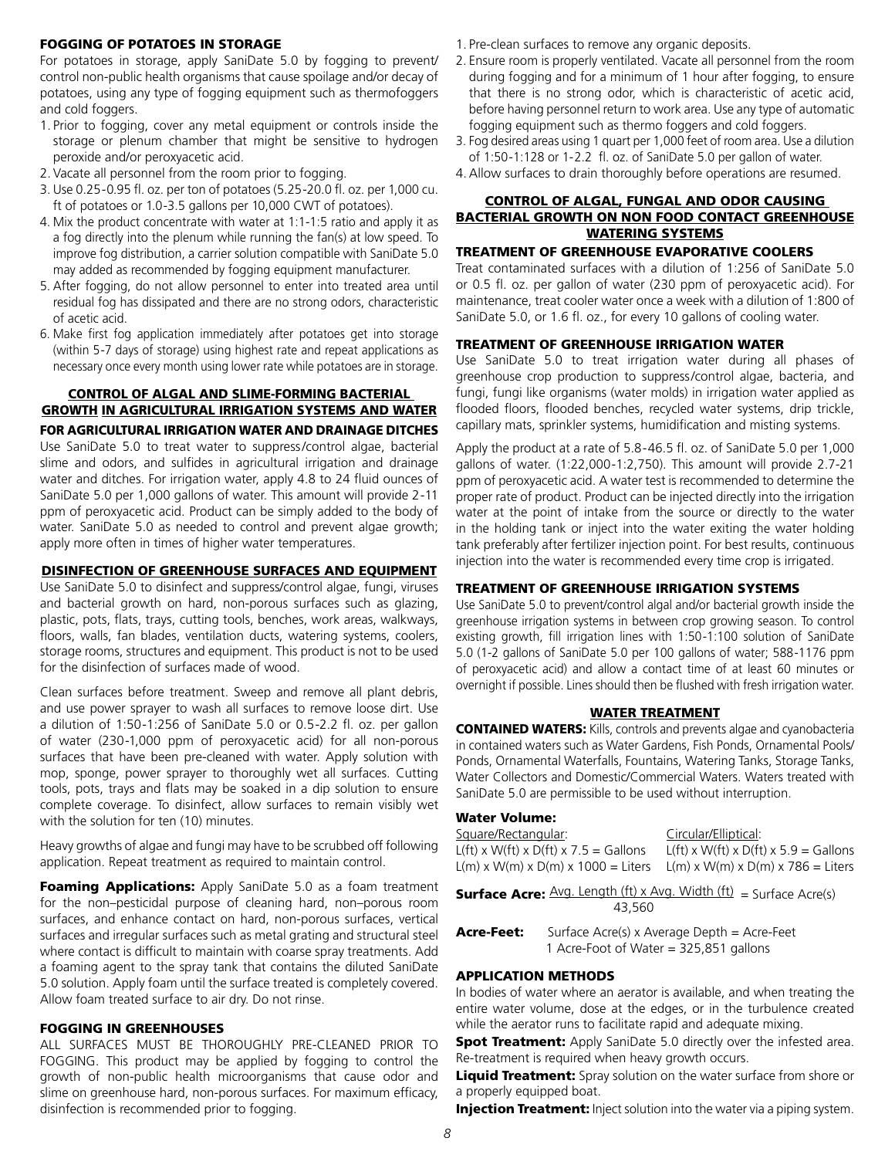#### FOGGING OF POTATOES IN STORAGE

For potatoes in storage, apply SaniDate 5.0 by fogging to prevent/ control non-public health organisms that cause spoilage and/or decay of potatoes, using any type of fogging equipment such as thermofoggers and cold foggers.

- 1. Prior to fogging, cover any metal equipment or controls inside the storage or plenum chamber that might be sensitive to hydrogen peroxide and/or peroxyacetic acid.
- 2. Vacate all personnel from the room prior to fogging.
- 3. Use 0.25-0.95 fl. oz. per ton of potatoes (5.25-20.0 fl. oz. per 1,000 cu. ft of potatoes or 1.0-3.5 gallons per 10,000 CWT of potatoes).
- 4. Mix the product concentrate with water at 1:1-1:5 ratio and apply it as a fog directly into the plenum while running the fan(s) at low speed. To improve fog distribution, a carrier solution compatible with SaniDate 5.0 may added as recommended by fogging equipment manufacturer.
- 5. After fogging, do not allow personnel to enter into treated area until residual fog has dissipated and there are no strong odors, characteristic of acetic acid.
- 6. Make first fog application immediately after potatoes get into storage (within 5-7 days of storage) using highest rate and repeat applications as necessary once every month using lower rate while potatoes are in storage.

#### CONTROL OF ALGAL AND SLIME-FORMING BACTERIAL GROWTH IN AGRICULTURAL IRRIGATION SYSTEMS AND WATER FOR AGRICULTURAL IRRIGATION WATER AND DRAINAGE DITCHES Use SaniDate 5.0 to treat water to suppress/control algae, bacterial slime and odors, and sulfides in agricultural irrigation and drainage water and ditches. For irrigation water, apply 4.8 to 24 fluid ounces of SaniDate 5.0 per 1,000 gallons of water. This amount will provide 2-11 ppm of peroxyacetic acid. Product can be simply added to the body of water. SaniDate 5.0 as needed to control and prevent algae growth; apply more often in times of higher water temperatures.

#### DISINFECTION OF GREENHOUSE SURFACES AND EQUIPMENT

Use SaniDate 5.0 to disinfect and suppress/control algae, fungi, viruses and bacterial growth on hard, non-porous surfaces such as glazing, plastic, pots, flats, trays, cutting tools, benches, work areas, walkways, floors, walls, fan blades, ventilation ducts, watering systems, coolers, storage rooms, structures and equipment. This product is not to be used for the disinfection of surfaces made of wood.

Clean surfaces before treatment. Sweep and remove all plant debris, and use power sprayer to wash all surfaces to remove loose dirt. Use a dilution of 1:50-1:256 of SaniDate 5.0 or 0.5-2.2 fl. oz. per gallon of water (230-1,000 ppm of peroxyacetic acid) for all non-porous surfaces that have been pre-cleaned with water. Apply solution with mop, sponge, power sprayer to thoroughly wet all surfaces. Cutting tools, pots, trays and flats may be soaked in a dip solution to ensure complete coverage. To disinfect, allow surfaces to remain visibly wet with the solution for ten (10) minutes.

Heavy growths of algae and fungi may have to be scrubbed off following application. Repeat treatment as required to maintain control.

**Foaming Applications:** Apply SaniDate 5.0 as a foam treatment for the non–pesticidal purpose of cleaning hard, non–porous room surfaces, and enhance contact on hard, non-porous surfaces, vertical surfaces and irregular surfaces such as metal grating and structural steel where contact is difficult to maintain with coarse spray treatments. Add a foaming agent to the spray tank that contains the diluted SaniDate 5.0 solution. Apply foam until the surface treated is completely covered. Allow foam treated surface to air dry. Do not rinse.

#### FOGGING IN GREENHOUSES

ALL SURFACES MUST BE THOROUGHLY PRE-CLEANED PRIOR TO FOGGING. This product may be applied by fogging to control the growth of non-public health microorganisms that cause odor and slime on greenhouse hard, non-porous surfaces. For maximum efficacy, disinfection is recommended prior to fogging.

- 1. Pre-clean surfaces to remove any organic deposits.
- 2. Ensure room is properly ventilated. Vacate all personnel from the room during fogging and for a minimum of 1 hour after fogging, to ensure that there is no strong odor, which is characteristic of acetic acid, before having personnel return to work area. Use any type of automatic fogging equipment such as thermo foggers and cold foggers.
- 3. Fog desired areas using 1 quart per 1,000 feet of room area. Use a dilution of 1:50-1:128 or 1-2.2 fl. oz. of SaniDate 5.0 per gallon of water.
- 4.Allow surfaces to drain thoroughly before operations are resumed.

#### CONTROL OF ALGAL, FUNGAL AND ODOR CAUSING BACTERIAL GROWTH ON NON FOOD CONTACT GREENHOUSE WATERING SYSTEMS

#### TREATMENT OF GREENHOUSE EVAPORATIVE COOLERS

Treat contaminated surfaces with a dilution of 1:256 of SaniDate 5.0 or 0.5 fl. oz. per gallon of water (230 ppm of peroxyacetic acid). For maintenance, treat cooler water once a week with a dilution of 1:800 of SaniDate 5.0, or 1.6 fl. oz., for every 10 gallons of cooling water.

#### TREATMENT OF GREENHOUSE IRRIGATION WATER

Use SaniDate 5.0 to treat irrigation water during all phases of greenhouse crop production to suppress/control algae, bacteria, and fungi, fungi like organisms (water molds) in irrigation water applied as flooded floors, flooded benches, recycled water systems, drip trickle, capillary mats, sprinkler systems, humidification and misting systems.

Apply the product at a rate of 5.8-46.5 fl. oz. of SaniDate 5.0 per 1,000 gallons of water. (1:22,000-1:2,750). This amount will provide 2.7-21 ppm of peroxyacetic acid. A water test is recommended to determine the proper rate of product. Product can be injected directly into the irrigation water at the point of intake from the source or directly to the water in the holding tank or inject into the water exiting the water holding tank preferably after fertilizer injection point. For best results, continuous injection into the water is recommended every time crop is irrigated.

# TREATMENT OF GREENHOUSE IRRIGATION SYSTEMS

Use SaniDate 5.0 to prevent/control algal and/or bacterial growth inside the greenhouse irrigation systems in between crop growing season. To control existing growth, fill irrigation lines with 1:50-1:100 solution of SaniDate 5.0 (1-2 gallons of SaniDate 5.0 per 100 gallons of water; 588-1176 ppm of peroxyacetic acid) and allow a contact time of at least 60 minutes or overnight if possible. Lines should then be flushed with fresh irrigation water.

#### WATER TREATMENT

CONTAINED WATERS: Kills, controls and prevents algae and cyanobacteria in contained waters such as Water Gardens, Fish Ponds, Ornamental Pools/ Ponds, Ornamental Waterfalls, Fountains, Watering Tanks, Storage Tanks, Water Collectors and Domestic/Commercial Waters. Waters treated with SaniDate 5.0 are permissible to be used without interruption.

# Water Volume:

| Square/Rectangular:                     | Circular/Elliptical:                    |
|-----------------------------------------|-----------------------------------------|
| $L(ft)$ x W(ft) x D(ft) x 7.5 = Gallons | $L(ft)$ x W(ft) x D(ft) x 5.9 = Gallons |
| $L(m)$ x W(m) x D(m) x 1000 = Liters    | $L(m)$ x W(m) x D(m) x 786 = Liters     |
|                                         |                                         |

**Surface Acre:**  $\frac{Avg. Length (ft) \times Avg. Width (ft)}{s = Surface Accept(s)}$ 43,560

**Acre-Feet:** Surface Acre(s) x Average Depth = Acre-Feet 1 Acre-Foot of Water = 325,851 gallons

#### APPLICATION METHODS

In bodies of water where an aerator is available, and when treating the entire water volume, dose at the edges, or in the turbulence created while the aerator runs to facilitate rapid and adequate mixing.

**Spot Treatment:** Apply SaniDate 5.0 directly over the infested area. Re-treatment is required when heavy growth occurs.

Liquid Treatment: Spray solution on the water surface from shore or a properly equipped boat.

**Injection Treatment:** Inject solution into the water via a piping system.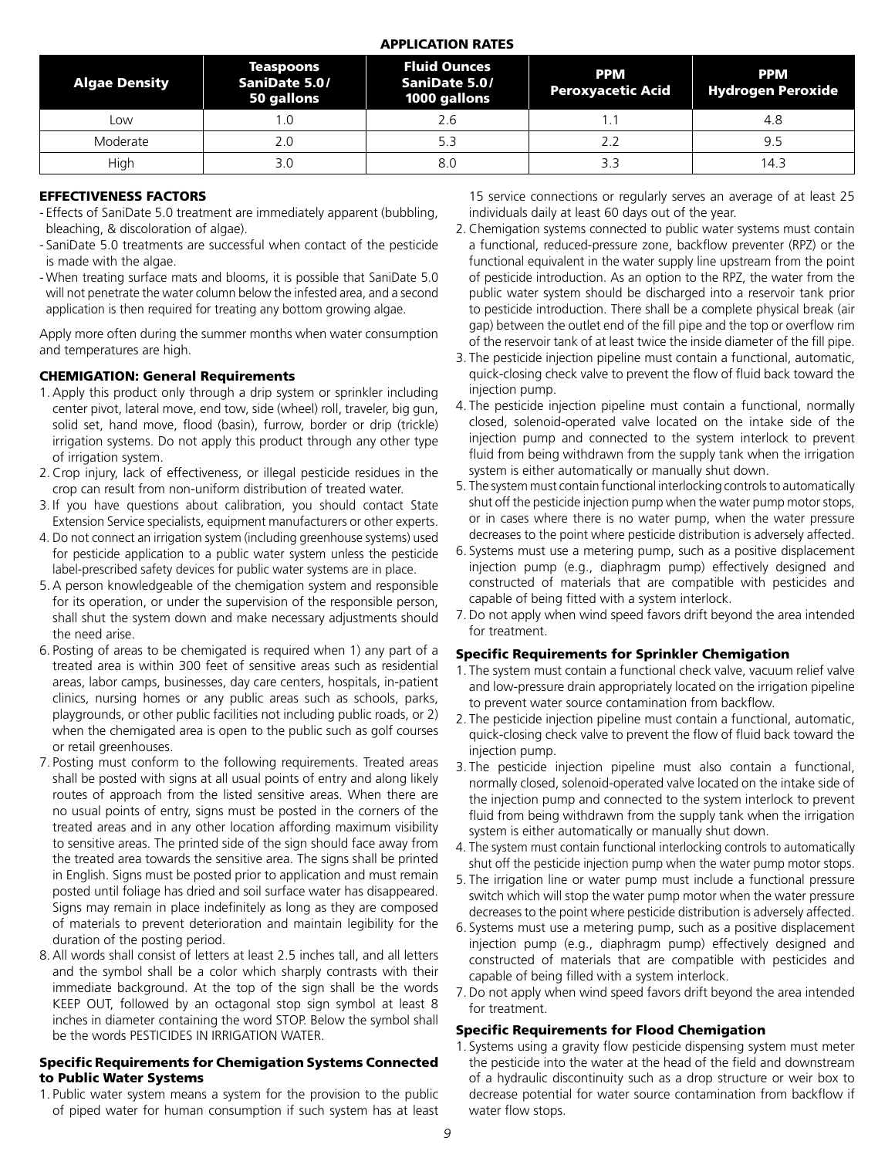#### APPLICATION RATES

| <b>Algae Density</b> | <b>Teaspoons</b><br>SaniDate 5.0/<br>50 gallons | <b>Fluid Ounces</b><br>SaniDate 5.0/<br>1000 gallons | <b>PPM</b><br><b>Peroxyacetic Acid</b> | <b>PPM</b><br><b>Hydrogen Peroxide</b> |
|----------------------|-------------------------------------------------|------------------------------------------------------|----------------------------------------|----------------------------------------|
| Low                  |                                                 | 2.6                                                  |                                        | 4.8                                    |
| Moderate             | 2.C                                             | 5.3                                                  | 2.2                                    | 9.5                                    |
| High                 | 3.0                                             | 8.0                                                  | 3.3                                    | 4.3                                    |

#### EFFECTIVENESS FACTORS

- Effects of SaniDate 5.0 treatment are immediately apparent (bubbling, bleaching, & discoloration of algae).
- SaniDate 5.0 treatments are successful when contact of the pesticide is made with the algae.
- When treating surface mats and blooms, it is possible that SaniDate 5.0 will not penetrate the water column below the infested area, and a second application is then required for treating any bottom growing algae.

Apply more often during the summer months when water consumption and temperatures are high.

#### CHEMIGATION: General Requirements

- 1.Apply this product only through a drip system or sprinkler including center pivot, lateral move, end tow, side (wheel) roll, traveler, big gun, solid set, hand move, flood (basin), furrow, border or drip (trickle) irrigation systems. Do not apply this product through any other type of irrigation system.
- 2.Crop injury, lack of effectiveness, or illegal pesticide residues in the crop can result from non-uniform distribution of treated water.
- 3. If you have questions about calibration, you should contact State Extension Service specialists, equipment manufacturers or other experts.
- 4. Do not connect an irrigation system (including greenhouse systems) used for pesticide application to a public water system unless the pesticide label-prescribed safety devices for public water systems are in place.
- 5.A person knowledgeable of the chemigation system and responsible for its operation, or under the supervision of the responsible person, shall shut the system down and make necessary adjustments should the need arise.
- 6. Posting of areas to be chemigated is required when 1) any part of a treated area is within 300 feet of sensitive areas such as residential areas, labor camps, businesses, day care centers, hospitals, in-patient clinics, nursing homes or any public areas such as schools, parks, playgrounds, or other public facilities not including public roads, or 2) when the chemigated area is open to the public such as golf courses or retail greenhouses.
- 7. Posting must conform to the following requirements. Treated areas shall be posted with signs at all usual points of entry and along likely routes of approach from the listed sensitive areas. When there are no usual points of entry, signs must be posted in the corners of the treated areas and in any other location affording maximum visibility to sensitive areas. The printed side of the sign should face away from the treated area towards the sensitive area. The signs shall be printed in English. Signs must be posted prior to application and must remain posted until foliage has dried and soil surface water has disappeared. Signs may remain in place indefinitely as long as they are composed of materials to prevent deterioration and maintain legibility for the duration of the posting period.
- 8.All words shall consist of letters at least 2.5 inches tall, and all letters and the symbol shall be a color which sharply contrasts with their immediate background. At the top of the sign shall be the words KEEP OUT, followed by an octagonal stop sign symbol at least 8 inches in diameter containing the word STOP. Below the symbol shall be the words PESTICIDES IN IRRIGATION WATER.

#### Specific Requirements for Chemigation Systems Connected to Public Water Systems

1. Public water system means a system for the provision to the public of piped water for human consumption if such system has at least

15 service connections or regularly serves an average of at least 25 individuals daily at least 60 days out of the year.

- 2. Chemigation systems connected to public water systems must contain a functional, reduced-pressure zone, backflow preventer (RPZ) or the functional equivalent in the water supply line upstream from the point of pesticide introduction. As an option to the RPZ, the water from the public water system should be discharged into a reservoir tank prior to pesticide introduction. There shall be a complete physical break (air gap) between the outlet end of the fill pipe and the top or overflow rim of the reservoir tank of at least twice the inside diameter of the fill pipe.
- 3. The pesticide injection pipeline must contain a functional, automatic, quick-closing check valve to prevent the flow of fluid back toward the injection pump.
- 4. The pesticide injection pipeline must contain a functional, normally closed, solenoid-operated valve located on the intake side of the injection pump and connected to the system interlock to prevent fluid from being withdrawn from the supply tank when the irrigation system is either automatically or manually shut down.
- 5. The system must contain functional interlocking controls to automatically shut off the pesticide injection pump when the water pump motor stops, or in cases where there is no water pump, when the water pressure decreases to the point where pesticide distribution is adversely affected.
- 6. Systems must use a metering pump, such as a positive displacement injection pump (e.g., diaphragm pump) effectively designed and constructed of materials that are compatible with pesticides and capable of being fitted with a system interlock.
- 7.Do not apply when wind speed favors drift beyond the area intended for treatment.

#### Specific Requirements for Sprinkler Chemigation

- 1. The system must contain a functional check valve, vacuum relief valve and low-pressure drain appropriately located on the irrigation pipeline to prevent water source contamination from backflow.
- 2. The pesticide injection pipeline must contain a functional, automatic, quick-closing check valve to prevent the flow of fluid back toward the injection pump.
- 3. The pesticide injection pipeline must also contain a functional, normally closed, solenoid-operated valve located on the intake side of the injection pump and connected to the system interlock to prevent fluid from being withdrawn from the supply tank when the irrigation system is either automatically or manually shut down.
- 4. The system must contain functional interlocking controls to automatically shut off the pesticide injection pump when the water pump motor stops.
- 5. The irrigation line or water pump must include a functional pressure switch which will stop the water pump motor when the water pressure decreases to the point where pesticide distribution is adversely affected.
- 6. Systems must use a metering pump, such as a positive displacement injection pump (e.g., diaphragm pump) effectively designed and constructed of materials that are compatible with pesticides and capable of being filled with a system interlock.
- 7.Do not apply when wind speed favors drift beyond the area intended for treatment.

#### Specific Requirements for Flood Chemigation

1. Systems using a gravity flow pesticide dispensing system must meter the pesticide into the water at the head of the field and downstream of a hydraulic discontinuity such as a drop structure or weir box to decrease potential for water source contamination from backflow if water flow stops.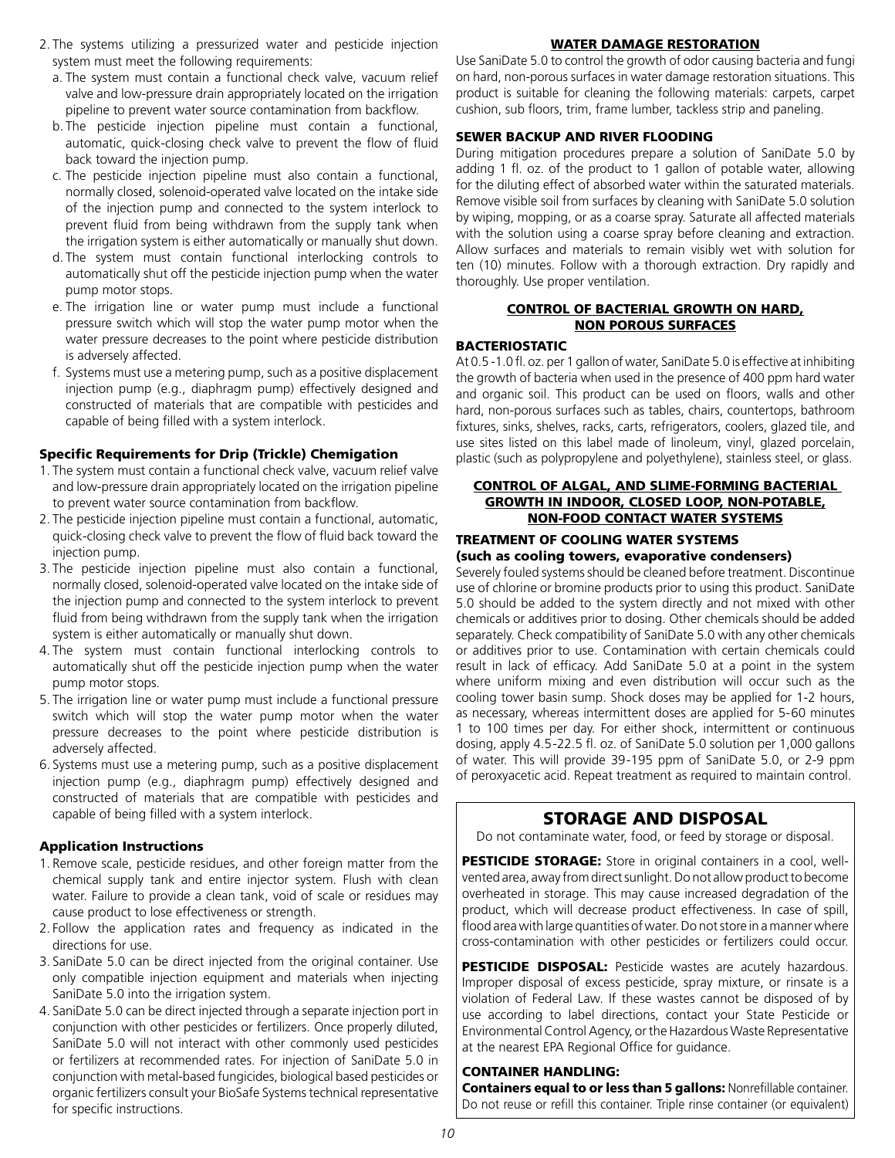- 2. The systems utilizing a pressurized water and pesticide injection system must meet the following requirements:
	- a. The system must contain a functional check valve, vacuum relief valve and low-pressure drain appropriately located on the irrigation pipeline to prevent water source contamination from backflow.
	- b. The pesticide injection pipeline must contain a functional, automatic, quick-closing check valve to prevent the flow of fluid back toward the injection pump.
	- c. The pesticide injection pipeline must also contain a functional, normally closed, solenoid-operated valve located on the intake side of the injection pump and connected to the system interlock to prevent fluid from being withdrawn from the supply tank when the irrigation system is either automatically or manually shut down.
	- d. The system must contain functional interlocking controls to automatically shut off the pesticide injection pump when the water pump motor stops.
	- e. The irrigation line or water pump must include a functional pressure switch which will stop the water pump motor when the water pressure decreases to the point where pesticide distribution is adversely affected.
	- f. Systems must use a metering pump, such as a positive displacement injection pump (e.g., diaphragm pump) effectively designed and constructed of materials that are compatible with pesticides and capable of being filled with a system interlock.

#### Specific Requirements for Drip (Trickle) Chemigation

- 1. The system must contain a functional check valve, vacuum relief valve and low-pressure drain appropriately located on the irrigation pipeline to prevent water source contamination from backflow.
- 2. The pesticide injection pipeline must contain a functional, automatic, quick-closing check valve to prevent the flow of fluid back toward the injection pump.
- 3. The pesticide injection pipeline must also contain a functional, normally closed, solenoid-operated valve located on the intake side of the injection pump and connected to the system interlock to prevent fluid from being withdrawn from the supply tank when the irrigation system is either automatically or manually shut down.
- 4. The system must contain functional interlocking controls to automatically shut off the pesticide injection pump when the water pump motor stops.
- 5. The irrigation line or water pump must include a functional pressure switch which will stop the water pump motor when the water pressure decreases to the point where pesticide distribution is adversely affected.
- 6. Systems must use a metering pump, such as a positive displacement injection pump (e.g., diaphragm pump) effectively designed and constructed of materials that are compatible with pesticides and capable of being filled with a system interlock.

#### Application Instructions

- 1. Remove scale, pesticide residues, and other foreign matter from the chemical supply tank and entire injector system. Flush with clean water. Failure to provide a clean tank, void of scale or residues may cause product to lose effectiveness or strength.
- 2. Follow the application rates and frequency as indicated in the directions for use.
- 3. SaniDate 5.0 can be direct injected from the original container. Use only compatible injection equipment and materials when injecting SaniDate 5.0 into the irrigation system.
- 4. SaniDate 5.0 can be direct injected through a separate injection port in conjunction with other pesticides or fertilizers. Once properly diluted, SaniDate 5.0 will not interact with other commonly used pesticides or fertilizers at recommended rates. For injection of SaniDate 5.0 in conjunction with metal-based fungicides, biological based pesticides or organic fertilizers consult your BioSafe Systems technical representative for specific instructions.

#### WATER DAMAGE RESTORATION

Use SaniDate 5.0 to control the growth of odor causing bacteria and fungi on hard, non-porous surfaces in water damage restoration situations. This product is suitable for cleaning the following materials: carpets, carpet cushion, sub floors, trim, frame lumber, tackless strip and paneling.

#### SEWER BACKUP AND RIVER FLOODING

During mitigation procedures prepare a solution of SaniDate 5.0 by adding 1 fl. oz. of the product to 1 gallon of potable water, allowing for the diluting effect of absorbed water within the saturated materials. Remove visible soil from surfaces by cleaning with SaniDate 5.0 solution by wiping, mopping, or as a coarse spray. Saturate all affected materials with the solution using a coarse spray before cleaning and extraction. Allow surfaces and materials to remain visibly wet with solution for ten (10) minutes. Follow with a thorough extraction. Dry rapidly and thoroughly. Use proper ventilation.

#### CONTROL OF BACTERIAL GROWTH ON HARD, NON POROUS SURFACES

#### BACTERIOSTATIC

At 0.5 -1.0 fl. oz. per 1 gallon of water, SaniDate 5.0 is effective at inhibiting the growth of bacteria when used in the presence of 400 ppm hard water and organic soil. This product can be used on floors, walls and other hard, non-porous surfaces such as tables, chairs, countertops, bathroom fixtures, sinks, shelves, racks, carts, refrigerators, coolers, glazed tile, and use sites listed on this label made of linoleum, vinyl, glazed porcelain, plastic (such as polypropylene and polyethylene), stainless steel, or glass.

#### CONTROL OF ALGAL, AND SLIME-FORMING BACTERIAL GROWTH IN INDOOR, CLOSED LOOP, NON-POTABLE, NON-FOOD CONTACT WATER SYSTEMS

#### TREATMENT OF COOLING WATER SYSTEMS

#### (such as cooling towers, evaporative condensers)

Severely fouled systems should be cleaned before treatment. Discontinue use of chlorine or bromine products prior to using this product. SaniDate 5.0 should be added to the system directly and not mixed with other chemicals or additives prior to dosing. Other chemicals should be added separately. Check compatibility of SaniDate 5.0 with any other chemicals or additives prior to use. Contamination with certain chemicals could result in lack of efficacy. Add SaniDate 5.0 at a point in the system where uniform mixing and even distribution will occur such as the cooling tower basin sump. Shock doses may be applied for 1-2 hours, as necessary, whereas intermittent doses are applied for 5-60 minutes 1 to 100 times per day. For either shock, intermittent or continuous dosing, apply 4.5-22.5 fl. oz. of SaniDate 5.0 solution per 1,000 gallons of water. This will provide 39-195 ppm of SaniDate 5.0, or 2-9 ppm of peroxyacetic acid. Repeat treatment as required to maintain control.

# STORAGE AND DISPOSAL

Do not contaminate water, food, or feed by storage or disposal.

PESTICIDE STORAGE: Store in original containers in a cool, wellvented area, away from direct sunlight. Do not allow product to become overheated in storage. This may cause increased degradation of the product, which will decrease product effectiveness. In case of spill, flood area with large quantities of water. Do not store in a manner where cross-contamination with other pesticides or fertilizers could occur.

PESTICIDE DISPOSAL: Pesticide wastes are acutely hazardous. Improper disposal of excess pesticide, spray mixture, or rinsate is a violation of Federal Law. If these wastes cannot be disposed of by use according to label directions, contact your State Pesticide or Environmental Control Agency, or the Hazardous Waste Representative at the nearest EPA Regional Office for guidance.

#### CONTAINER HANDLING:

Containers equal to or less than 5 gallons: Nonrefillable container. Do not reuse or refill this container. Triple rinse container (or equivalent)